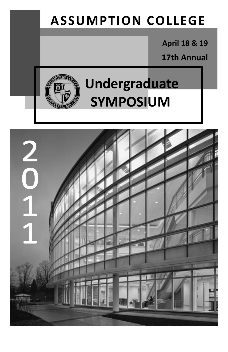# **ASSUMPTION COLLEGE**

**April 18 & 19** 

**17th Annual**



# **Undergraduate SYMPOSIUM**

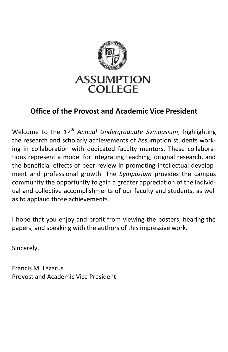

### **Office of the Provost and Academic Vice President**

Welcome to the *17th Annual Undergraduate Symposium*, highlighting the research and scholarly achievements of Assumption students working in collaboration with dedicated faculty mentors. These collaborations represent a model for integrating teaching, original research, and the beneficial effects of peer review in promoting intellectual development and professional growth. The *Symposium* provides the campus community the opportunity to gain a greater appreciation of the individual and collective accomplishments of our faculty and students, as well as to applaud those achievements.

I hope that you enjoy and profit from viewing the posters, hearing the papers, and speaking with the authors of this impressive work.

Sincerely,

Francis M. Lazarus Provost and Academic Vice President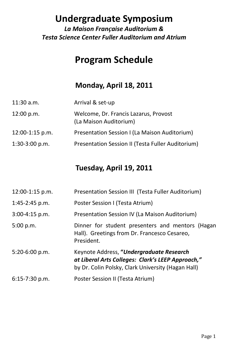## **Undergraduate Symposium**

*La Maison Française Auditorium & Testa Science Center Fuller Auditorium and Atrium*

# **Program Schedule**

#### **Monday, April 18, 2011**

| $11:30$ a.m.      | Arrival & set-up                                                |
|-------------------|-----------------------------------------------------------------|
| 12:00 p.m.        | Welcome, Dr. Francis Lazarus, Provost<br>(La Maison Auditorium) |
| $12:00-1:15$ p.m. | Presentation Session I (La Maison Auditorium)                   |
| $1:30-3:00$ p.m.  | Presentation Session II (Testa Fuller Auditorium)               |

### **Tuesday, April 19, 2011**

| 12:00-1:15 p.m.  | Presentation Session III (Testa Fuller Auditorium)                                                                                                  |
|------------------|-----------------------------------------------------------------------------------------------------------------------------------------------------|
| 1:45-2:45 p.m.   | Poster Session I (Testa Atrium)                                                                                                                     |
| $3:00-4:15$ p.m. | Presentation Session IV (La Maison Auditorium)                                                                                                      |
| 5:00 p.m.        | Dinner for student presenters and mentors (Hagan<br>Hall). Greetings from Dr. Francesco Cesareo,<br>President.                                      |
| 5:20-6:00 p.m.   | Keynote Address, "Undergraduate Research<br>at Liberal Arts Colleges: Clark's LEEP Approach,"<br>by Dr. Colin Polsky, Clark University (Hagan Hall) |
| $6:15-7:30$ p.m. | Poster Session II (Testa Atrium)                                                                                                                    |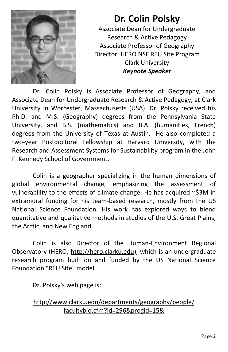

# **Dr. Colin Polsky**

Associate Dean for Undergraduate Research & Active Pedagogy Associate Professor of Geography Director, HERO NSF REU Site Program Clark University *Keynote Speaker*

Dr. Colin Polsky is Associate Professor of Geography, and Associate Dean for Undergraduate Research & Active Pedagogy, at Clark University in Worcester, Massachusetts (USA). Dr. Polsky received his Ph.D. and M.S. (Geography) degrees from the Pennsylvania State University, and B.S. (mathematics) and B.A. (humanities, French) degrees from the University of Texas at Austin. He also completed a two-year Postdoctoral Fellowship at Harvard University, with the Research and Assessment Systems for Sustainability program in the John F. Kennedy School of Government.

Colin is a geographer specializing in the human dimensions of global environmental change, emphasizing the assessment of vulnerability to the effects of climate change. He has acquired ~\$3M in extramural funding for his team-based research, mostly from the US National Science Foundation. His work has explored ways to blend quantitative and qualitative methods in studies of the U.S. Great Plains, the Arctic, and New England.

Colin is also Director of the Human-Environment Regional Observatory (HERO; [http://hero.clarku.edu\),](http://hero.clarku.edu) which is an undergraduate research program built on and funded by the US National Science Foundation "REU Site" model.

Dr. Polsky's web page is:

[http://www.clarku.edu/departments/geography/people/](http://www.clarku.edu/departments/geography/people/facultybio.cfm?id=296&progid=15&) [facultybio.cfm?id=296&progid=15&](http://www.clarku.edu/departments/geography/people/facultybio.cfm?id=296&progid=15&)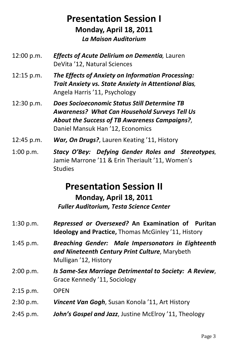### **Presentation Session I Monday, April 18, 2011** *La Maison Auditorium*

- 12:00 p.m. *Effects of Acute Delirium on Dementia,* Lauren DeVita '12, Natural Sciences
- 12:15 p.m. *The Effects of Anxiety on Information Processing: Trait Anxiety vs. State Anxiety in Attentional Bias,* Angela Harris '11, Psychology
- 12:30 p.m. *Does Socioeconomic Status Still Determine TB Awareness? What Can Household Surveys Tell Us About the Success of TB Awareness Campaigns?*, Daniel Mansuk Han '12, Economics
- 12:45 p.m. *War, On Drugs?*, Lauren Keating '11, History
- 1:00 p.m. *Stacy O'Bey: Defying Gender Roles and Stereotypes*, Jamie Marrone '11 & Erin Theriault '11, Women's **Studies**

### **Presentation Session II**

#### **Monday, April 18, 2011** *Fuller Auditorium, Testa Science Center*

- 1:30 p.m. *Repressed or Oversexed?* **An Examination of Puritan Ideology and Practice,** Thomas McGinley '11, History
- 1:45 p.m. *Breaching Gender: Male Impersonators in Eighteenth and Nineteenth Century Print Culture*, Marybeth Mulligan '12, History
- 2:00 p.m. *Is Same-Sex Marriage Detrimental to Society: A Review*, Grace Kennedy '11, Sociology
- 2:15 p.m. OPEN
- 2:30 p.m. *Vincent Van Gogh*, Susan Konola '11, Art History
- 2:45 p.m. *John's Gospel and Jazz*, Justine McElroy '11, Theology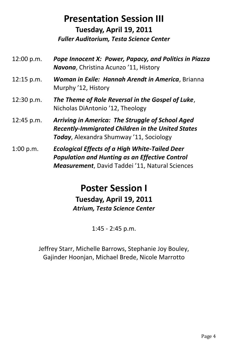# **Presentation Session III**

**Tuesday, April 19, 2011** *Fuller Auditorium, Testa Science Center*

- 12:00 p.m. *Pope Innocent X: Power, Papacy, and Politics in Piazza Navona*, Christina Acunzo '11, History
- 12:15 p.m. *Woman in Exile: Hannah Arendt in America*, Brianna Murphy '12, History
- 12:30 p.m. *The Theme of Role Reversal in the Gospel of Luke*, Nicholas DiAntonio '12, Theology
- 12:45 p.m. *Arriving in America: The Struggle of School Aged Recently-Immigrated Children in the United States Today*, Alexandra Shumway '11, Sociology
- 1:00 p.m. *Ecological Effects of a High White-Tailed Deer Population and Hunting as an Effective Control Measurement*, David Taddei '11, Natural Sciences

### **Poster Session I Tuesday, April 19, 2011** *Atrium, Testa Science Center*

1:45 - 2:45 p.m.

Jeffrey Starr, Michelle Barrows, Stephanie Joy Bouley, Gajinder Hoonjan, Michael Brede, Nicole Marrotto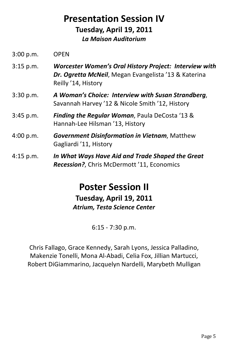### **Presentation Session IV Tuesday, April 19, 2011** *La Maison Auditorium*

- 3:15 p.m. *Worcester Women's Oral History Project: Interview with Dr. Ogretta McNeil*, Megan Evangelista '13 & Katerina Reilly '14, History
- 3:30 p.m. *A Woman's Choice: Interview with Susan Strandberg*, Savannah Harvey '12 & Nicole Smith '12, History
- 3:45 p.m. *Finding the Regular Woman*, Paula DeCosta '13 & Hannah-Lee Hilsman '13, History
- 4:00 p.m. *Government Disinformation in Vietnam*, Matthew Gagliardi '11, History
- 4:15 p.m. *In What Ways Have Aid and Trade Shaped the Great Recession?*, Chris McDermott '11, Economics

### **Poster Session II Tuesday, April 19, 2011** *Atrium, Testa Science Center*

6:15 - 7:30 p.m.

Chris Fallago, Grace Kennedy, Sarah Lyons, Jessica Palladino, Makenzie Tonelli, Mona Al-Abadi, Celia Fox, Jillian Martucci, Robert DiGiammarino, Jacquelyn Nardelli, Marybeth Mulligan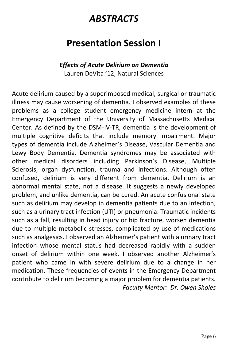# *ABSTRACTS*

# **Presentation Session I**

#### *Effects of Acute Delirium on Dementia* Lauren DeVita '12, Natural Sciences

Acute delirium caused by a superimposed medical, surgical or traumatic illness may cause worsening of dementia. I observed examples of these problems as a college student emergency medicine intern at the Emergency Department of the University of Massachusetts Medical Center. As defined by the DSM-IV-TR, dementia is the development of multiple cognitive deficits that include memory impairment. Major types of dementia include Alzheimer's Disease, Vascular Dementia and Lewy Body Dementia. Dementia syndromes may be associated with other medical disorders including Parkinson's Disease, Multiple Sclerosis, organ dysfunction, trauma and infections. Although often confused, delirium is very different from dementia. Delirium is an abnormal mental state, not a disease. It suggests a newly developed problem, and unlike dementia, can be cured. An acute confusional state such as delirium may develop in dementia patients due to an infection, such as a urinary tract infection (UTI) or pneumonia. Traumatic incidents such as a fall, resulting in head injury or hip fracture, worsen dementia due to multiple metabolic stresses, complicated by use of medications such as analgesics. I observed an Alzheimer's patient with a urinary tract infection whose mental status had decreased rapidly with a sudden onset of delirium within one week. I observed another Alzheimer's patient who came in with severe delirium due to a change in her medication. These frequencies of events in the Emergency Department contribute to delirium becoming a major problem for dementia patients. *Faculty Mentor: Dr. Owen Sholes*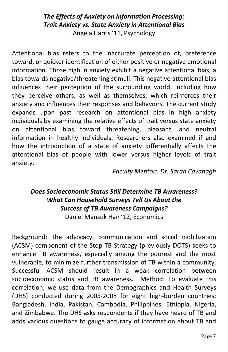#### *The Effects of Anxiety on Information Processing: Trait Anxiety vs. State Anxiety in Attentional Bias* Angela Harris '11, Psychology

Attentional bias refers to the inaccurate perception of, preference toward, or quicker identification of either positive or negative emotional information. Those high in anxiety exhibit a negative attentional bias, a bias towards negative/threatening stimuli. This negative attentional bias influences their perception of the surrounding world, including how they perceive others, as well as themselves, which reinforces their anxiety and influences their responses and behaviors. The current study expands upon past research on attentional bias in high anxiety individuals by examining the relative effects of trait versus state anxiety on attentional bias toward threatening, pleasant, and neutral information in healthy individuals. Researchers also examined if and how the introduction of a state of anxiety differentially affects the attentional bias of people with lower versus higher levels of trait anxiety.

*Faculty Mentor: Dr. Sarah Cavanagh*

#### *Does Socioeconomic Status Still Determine TB Awareness? What Can Household Surveys Tell Us About the Success of TB Awareness Campaigns?*

Daniel Mansuk Han '12, Economics

Background: The advocacy, communication and social mobilization (ACSM) component of the Stop TB Strategy (previously DOTS) seeks to enhance TB awareness, especially among the poorest and the most vulnerable, to minimize further transmission of TB within a community. Successful ACSM should result in a weak correlation between socioeconomic status and TB awareness. Method: To evaluate this correlation, we use data from the Demographics and Health Surveys (DHS) conducted during 2005-2008 for eight high-burden countries: Bangladesh, India, Pakistan, Cambodia, Philippines, Ethiopia, Nigeria, and Zimbabwe. The DHS asks respondents if they have heard of TB and adds various questions to gauge accuracy of information about TB and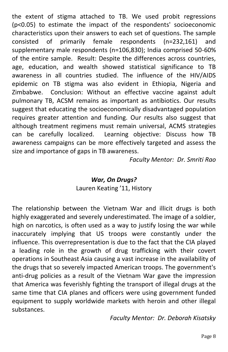the extent of stigma attached to TB. We used probit regressions (p<0.05) to estimate the impact of the respondents' socioeconomic characteristics upon their answers to each set of questions. The sample consisted of primarily female respondents (n=232,161) and supplementary male respondents (n=106,830); India comprised 50-60% of the entire sample. Result: Despite the differences across countries, age, education, and wealth showed statistical significance to TB awareness in all countries studied. The influence of the HIV/AIDS epidemic on TB stigma was also evident in Ethiopia, Nigeria and Zimbabwe. Conclusion: Without an effective vaccine against adult pulmonary TB, ACSM remains as important as antibiotics. Our results suggest that educating the socioeconomically disadvantaged population requires greater attention and funding. Our results also suggest that although treatment regimens must remain universal, ACMS strategies can be carefully localized. Learning objective: Discuss how TB awareness campaigns can be more effectively targeted and assess the size and importance of gaps in TB awareness.

*Faculty Mentor: Dr. Smriti Rao*

#### *War, On Drugs?* Lauren Keating '11, History

The relationship between the Vietnam War and illicit drugs is both highly exaggerated and severely underestimated. The image of a soldier, high on narcotics, is often used as a way to justify losing the war while inaccurately implying that US troops were constantly under the influence. This overrepresentation is due to the fact that the CIA played a leading role in the growth of drug trafficking with their covert operations in Southeast Asia causing a vast increase in the availability of the drugs that so severely impacted American troops. The government's anti-drug policies as a result of the Vietnam War gave the impression that America was feverishly fighting the transport of illegal drugs at the same time that CIA planes and officers were using government funded equipment to supply worldwide markets with heroin and other illegal substances.

*Faculty Mentor: Dr. Deborah Kisatsky*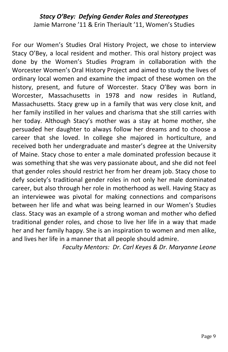#### *Stacy O'Bey: Defying Gender Roles and Stereotypes* Jamie Marrone '11 & Erin Theriault '11, Women's Studies

For our Women's Studies Oral History Project, we chose to interview Stacy O'Bey, a local resident and mother. This oral history project was done by the Women's Studies Program in collaboration with the Worcester Women's Oral History Project and aimed to study the lives of ordinary local women and examine the impact of these women on the history, present, and future of Worcester. Stacy O'Bey was born in Worcester, Massachusetts in 1978 and now resides in Rutland, Massachusetts. Stacy grew up in a family that was very close knit, and her family instilled in her values and charisma that she still carries with her today. Although Stacy's mother was a stay at home mother, she persuaded her daughter to always follow her dreams and to choose a career that she loved. In college she majored in horticulture, and received both her undergraduate and master's degree at the University of Maine. Stacy chose to enter a male dominated profession because it was something that she was very passionate about, and she did not feel that gender roles should restrict her from her dream job. Stacy chose to defy society's traditional gender roles in not only her male dominated career, but also through her role in motherhood as well. Having Stacy as an interviewee was pivotal for making connections and comparisons between her life and what was being learned in our Women's Studies class. Stacy was an example of a strong woman and mother who defied traditional gender roles, and chose to live her life in a way that made her and her family happy. She is an inspiration to women and men alike, and lives her life in a manner that all people should admire.

*Faculty Mentors: Dr. Carl Keyes & Dr. Maryanne Leone*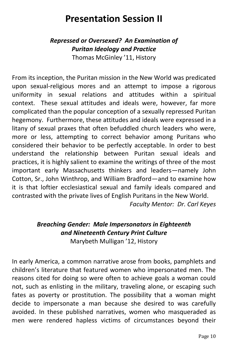# **Presentation Session II**

#### *Repressed or Oversexed? An Examination of Puritan Ideology and Practice* Thomas McGinley '11, History

From its inception, the Puritan mission in the New World was predicated upon sexual-religious mores and an attempt to impose a rigorous uniformity in sexual relations and attitudes within a spiritual context. These sexual attitudes and ideals were, however, far more complicated than the popular conception of a sexually repressed Puritan hegemony. Furthermore, these attitudes and ideals were expressed in a litany of sexual praxes that often befuddled church leaders who were, more or less, attempting to correct behavior among Puritans who considered their behavior to be perfectly acceptable. In order to best understand the relationship between Puritan sexual ideals and practices, it is highly salient to examine the writings of three of the most important early Massachusetts thinkers and leaders—namely John Cotton, Sr., John Winthrop, and William Bradford—and to examine how it is that loftier ecclesiastical sexual and family ideals compared and contrasted with the private lives of English Puritans in the New World. *Faculty Mentor: Dr. Carl Keyes*

#### *Breaching Gender: Male Impersonators in Eighteenth and Nineteenth Century Print Culture* Marybeth Mulligan '12, History

In early America, a common narrative arose from books, pamphlets and children's literature that featured women who impersonated men. The reasons cited for doing so were often to achieve goals a woman could not, such as enlisting in the military, traveling alone, or escaping such fates as poverty or prostitution. The possibility that a woman might decide to impersonate a man because she desired to was carefully avoided. In these published narratives, women who masqueraded as men were rendered hapless victims of circumstances beyond their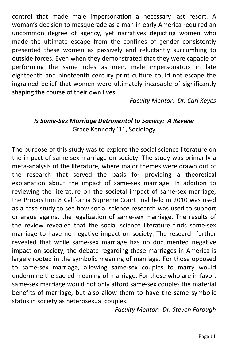control that made male impersonation a necessary last resort. A woman's decision to masquerade as a man in early America required an uncommon degree of agency, yet narratives depicting women who made the ultimate escape from the confines of gender consistently presented these women as passively and reluctantly succumbing to outside forces. Even when they demonstrated that they were capable of performing the same roles as men, male impersonators in late eighteenth and nineteenth century print culture could not escape the ingrained belief that women were ultimately incapable of significantly shaping the course of their own lives.

*Faculty Mentor: Dr. Carl Keyes*

#### *Is Same-Sex Marriage Detrimental to Society: A Review* Grace Kennedy '11, Sociology

The purpose of this study was to explore the social science literature on the impact of same-sex marriage on society. The study was primarily a meta-analysis of the literature, where major themes were drawn out of the research that served the basis for providing a theoretical explanation about the impact of same-sex marriage. In addition to reviewing the literature on the societal impact of same-sex marriage, the Proposition 8 California Supreme Court trial held in 2010 was used as a case study to see how social science research was used to support or argue against the legalization of same-sex marriage. The results of the review revealed that the social science literature finds same-sex marriage to have no negative impact on society. The research further revealed that while same-sex marriage has no documented negative impact on society, the debate regarding these marriages in America is largely rooted in the symbolic meaning of marriage. For those opposed to same-sex marriage, allowing same-sex couples to marry would undermine the sacred meaning of marriage. For those who are in favor, same-sex marriage would not only afford same-sex couples the material benefits of marriage, but also allow them to have the same symbolic status in society as heterosexual couples.

*Faculty Mentor: Dr. Steven Farough*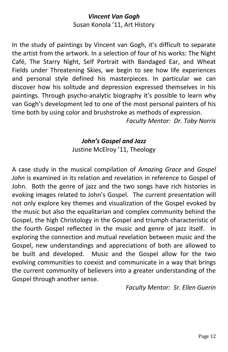## *Vincent Van Gogh*

Susan Konola '11, Art History

In the study of paintings by Vincent van Gogh, it's difficult to separate the artist from the artwork. In a selection of four of his works: The Night Café, The Starry Night, Self Portrait with Bandaged Ear, and Wheat Fields under Threatening Skies, we begin to see how life experiences and personal style defined his masterpieces. In particular we can discover how his solitude and depression expressed themselves in his paintings. Through psycho-analytic biography it's possible to learn why van Gogh's development led to one of the most personal painters of his time both by using color and brushstroke as methods of expression.

*Faculty Mentor: Dr. Toby Norris*

#### *John's Gospel and Jazz*

Justine McElroy '11, Theology

A case study in the musical compilation of *Amazing Grace* and *Gospel John* is examined in its relation and revelation in reference to Gospel of John. Both the genre of jazz and the two songs have rich histories in evoking images related to John's Gospel. The current presentation will not only explore key themes and visualization of the Gospel evoked by the music but also the equalitarian and complex community behind the Gospel, the high Christology in the Gospel and triumph characteristic of the fourth Gospel reflected in the music and genre of jazz itself. In exploring the connection and mutual revelation between music and the Gospel, new understandings and appreciations of both are allowed to be built and developed. Music and the Gospel allow for the two evolving communities to coexist and communicate in a way that brings the current community of believers into a greater understanding of the Gospel through another sense.

*Faculty Mentor: Sr. Ellen Guerin*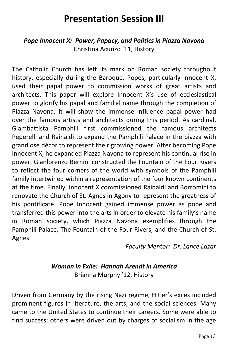## **Presentation Session III**

#### *Pope Innocent X: Power, Papacy, and Politics in Piazza Navona* Christina Acunzo '11, History

The Catholic Church has left its mark on Roman society throughout history, especially during the Baroque. Popes, particularly Innocent X, used their papal power to commission works of great artists and architects. This paper will explore Innocent X's use of ecclesiastical power to glorify his papal and familial name through the completion of Piazza Navona. It will show the immense influence papal power had over the famous artists and architects during this period. As cardinal, Giambattista Pamphili first commissioned the famous architects Peperelli and Rainaldi to expand the Pamphili Palace in the piazza with grandiose décor to represent their growing power. After becoming Pope Innocent X, he expanded Piazza Navona to represent his continual rise in power. Gianlorenzo Bernini constructed the Fountain of the Four Rivers to reflect the four corners of the world with symbols of the Pamphili family intertwined within a representation of the four known continents at the time. Finally, Innocent X commissioned Rainaldi and Borromini to renovate the Church of St. Agnes in Agony to represent the greatness of his pontificate. Pope Innocent gained immense power as pope and transferred this power into the arts in order to elevate his family's name in Roman society, which Piazza Navona exemplifies through the Pamphili Palace, The Fountain of the Four Rivers, and the Church of St. Agnes.

*Faculty Mentor: Dr. Lance Lazar*

#### *Woman in Exile: Hannah Arendt in America* Brianna Murphy '12, History

Driven from Germany by the rising Nazi regime, Hitler's exiles included prominent figures in literature, the arts, and the social sciences. Many came to the United States to continue their careers. Some were able to find success; others were driven out by charges of socialism in the age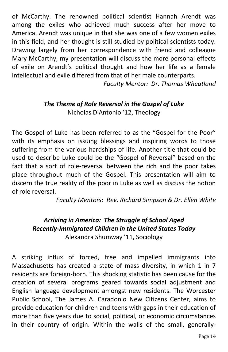of McCarthy. The renowned political scientist Hannah Arendt was among the exiles who achieved much success after her move to America. Arendt was unique in that she was one of a few women exiles in this field, and her thought is still studied by political scientists today. Drawing largely from her correspondence with friend and colleague Mary McCarthy, my presentation will discuss the more personal effects of exile on Arendt's political thought and how her life as a female intellectual and exile differed from that of her male counterparts.

*Faculty Mentor: Dr. Thomas Wheatland*

#### *The Theme of Role Reversal in the Gospel of Luke* Nicholas DiAntonio '12, Theology

The Gospel of Luke has been referred to as the "Gospel for the Poor" with its emphasis on issuing blessings and inspiring words to those suffering from the various hardships of life. Another title that could be used to describe Luke could be the "Gospel of Reversal" based on the fact that a sort of role-reversal between the rich and the poor takes place throughout much of the Gospel. This presentation will aim to discern the true reality of the poor in Luke as well as discuss the notion of role reversal.

*Faculty Mentors: Rev. Richard Simpson & Dr. Ellen White*

#### *Arriving in America: The Struggle of School Aged Recently-Immigrated Children in the United States Today* Alexandra Shumway '11, Sociology

A striking influx of forced, free and impelled immigrants into Massachusetts has created a state of mass diversity, in which 1 in 7 residents are foreign-born. This shocking statistic has been cause for the creation of several programs geared towards social adjustment and English language development amongst new residents. The Worcester Public School, The James A. Caradonio New Citizens Center, aims to provide education for children and teens with gaps in their education of more than five years due to social, political, or economic circumstances in their country of origin. Within the walls of the small, generally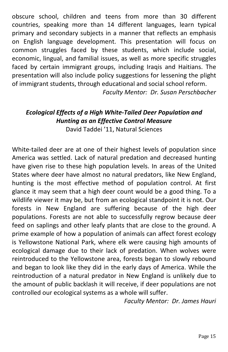obscure school, children and teens from more than 30 different countries, speaking more than 14 different languages, learn typical primary and secondary subjects in a manner that reflects an emphasis on English language development. This presentation will focus on common struggles faced by these students, which include social, economic, lingual, and familial issues, as well as more specific struggles faced by certain immigrant groups, including Iraqis and Haitians. The presentation will also include policy suggestions for lessening the plight of immigrant students, through educational and social school reform.

*Faculty Mentor: Dr. Susan Perschbacher*

### *Ecological Effects of a High White-Tailed Deer Population and Hunting as an Effective Control Measure*

David Taddei '11, Natural Sciences

White-tailed deer are at one of their highest levels of population since America was settled. Lack of natural predation and decreased hunting have given rise to these high population levels. In areas of the United States where deer have almost no natural predators, like New England, hunting is the most effective method of population control. At first glance it may seem that a high deer count would be a good thing. To a wildlife viewer it may be, but from an ecological standpoint it is not. Our forests in New England are suffering because of the high deer populations. Forests are not able to successfully regrow because deer feed on saplings and other leafy plants that are close to the ground. A prime example of how a population of animals can affect forest ecology is Yellowstone National Park, where elk were causing high amounts of ecological damage due to their lack of predation. When wolves were reintroduced to the Yellowstone area, forests began to slowly rebound and began to look like they did in the early days of America. While the reintroduction of a natural predator in New England is unlikely due to the amount of public backlash it will receive, if deer populations are not controlled our ecological systems as a whole will suffer.

*Faculty Mentor: Dr. James Hauri*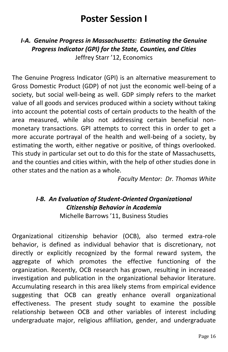# **Poster Session I**

*I-A. Genuine Progress in Massachusetts: Estimating the Genuine Progress Indicator (GPI) for the State, Counties, and Cities* Jeffrey Starr '12, Economics

The Genuine Progress Indicator (GPI) is an alternative measurement to Gross Domestic Product (GDP) of not just the economic well-being of a society, but social well-being as well. GDP simply refers to the market value of all goods and services produced within a society without taking into account the potential costs of certain products to the health of the area measured, while also not addressing certain beneficial nonmonetary transactions. GPI attempts to correct this in order to get a more accurate portrayal of the health and well-being of a society, by estimating the worth, either negative or positive, of things overlooked. This study in particular set out to do this for the state of Massachusetts, and the counties and cities within, with the help of other studies done in other states and the nation as a whole.

*Faculty Mentor: Dr. Thomas White*

### *I-B. An Evaluation of Student-Oriented Organizational Citizenship Behavior in Academia*

Michelle Barrows '11, Business Studies

Organizational citizenship behavior (OCB), also termed extra-role behavior, is defined as individual behavior that is discretionary, not directly or explicitly recognized by the formal reward system, the aggregate of which promotes the effective functioning of the organization. Recently, OCB research has grown, resulting in increased investigation and publication in the organizational behavior literature. Accumulating research in this area likely stems from empirical evidence suggesting that OCB can greatly enhance overall organizational effectiveness. The present study sought to examine the possible relationship between OCB and other variables of interest including undergraduate major, religious affiliation, gender, and undergraduate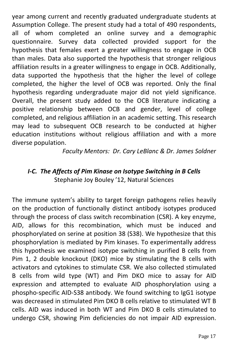year among current and recently graduated undergraduate students at Assumption College. The present study had a total of 490 respondents, all of whom completed an online survey and a demographic questionnaire. Survey data collected provided support for the hypothesis that females exert a greater willingness to engage in OCB than males. Data also supported the hypothesis that stronger religious affiliation results in a greater willingness to engage in OCB. Additionally, data supported the hypothesis that the higher the level of college completed, the higher the level of OCB was reported. Only the final hypothesis regarding undergraduate major did not yield significance. Overall, the present study added to the OCB literature indicating a positive relationship between OCB and gender, level of college completed, and religious affiliation in an academic setting. This research may lead to subsequent OCB research to be conducted at higher education institutions without religious affiliation and with a more diverse population.

*Faculty Mentors: Dr. Cary LeBlanc & Dr. James Soldner*

#### *I-C. The Affects of Pim Kinase on Isotype Switching in B Cells* Stephanie Joy Bouley '12, Natural Sciences

The immune system's ability to target foreign pathogens relies heavily on the production of functionally distinct antibody isotypes produced through the process of class switch recombination (CSR). A key enzyme, AID, allows for this recombination, which must be induced and phosphorylated on serine at position 38 (S38). We hypothesize that this phosphorylation is mediated by Pim kinases. To experimentally address this hypothesis we examined isotype switching in purified B cells from Pim 1, 2 double knockout (DKO) mice by stimulating the B cells with activators and cytokines to stimulate CSR. We also collected stimulated B cells from wild type (WT) and Pim DKO mice to assay for AID expression and attempted to evaluate AID phosphorylation using a phospho-specific AID-S38 antibody. We found switching to IgG1 isotype was decreased in stimulated Pim DKO B cells relative to stimulated WT B cells. AID was induced in both WT and Pim DKO B cells stimulated to undergo CSR, showing Pim deficiencies do not impair AID expression.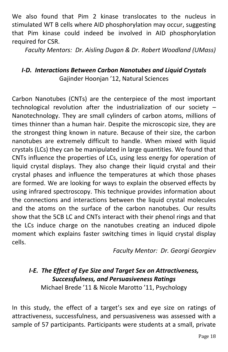We also found that Pim 2 kinase translocates to the nucleus in stimulated WT B cells where AID phosphorylation may occur, suggesting that Pim kinase could indeed be involved in AID phosphorylation required for CSR.

*Faculty Mentors: Dr. Aisling Dugan & Dr. Robert Woodland (UMass)*

#### *I-D. Interactions Between Carbon Nanotubes and Liquid Crystals* Gajinder Hoonjan '12, Natural Sciences

Carbon Nanotubes (CNTs) are the centerpiece of the most important technological revolution after the industrialization of our society – Nanotechnology. They are small cylinders of carbon atoms, millions of times thinner than a human hair. Despite the microscopic size, they are the strongest thing known in nature. Because of their size, the carbon nanotubes are extremely difficult to handle. When mixed with liquid crystals (LCs) they can be manipulated in large quantities. We found that CNTs influence the properties of LCs, using less energy for operation of liquid crystal displays. They also change their liquid crystal and their crystal phases and influence the temperatures at which those phases are formed. We are looking for ways to explain the observed effects by using infrared spectroscopy. This technique provides information about the connections and interactions between the liquid crystal molecules and the atoms on the surface of the carbon nanotubes. Our results show that the 5CB LC and CNTs interact with their phenol rings and that the LCs induce charge on the nanotubes creating an induced dipole moment which explains faster switching times in liquid crystal display cells.

*Faculty Mentor: Dr. Georgi Georgiev* 

### *I-E. The Effect of Eye Size and Target Sex on Attractiveness, Successfulness, and Persuasiveness Ratings*

Michael Brede '11 & Nicole Marotto '11, Psychology

In this study, the effect of a target's sex and eye size on ratings of attractiveness, successfulness, and persuasiveness was assessed with a sample of 57 participants. Participants were students at a small, private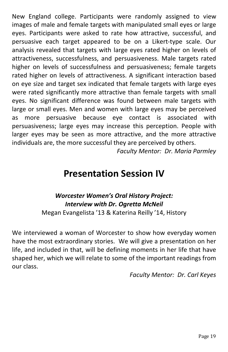New England college. Participants were randomly assigned to view images of male and female targets with manipulated small eyes or large eyes. Participants were asked to rate how attractive, successful, and persuasive each target appeared to be on a Likert-type scale. Our analysis revealed that targets with large eyes rated higher on levels of attractiveness, successfulness, and persuasiveness. Male targets rated higher on levels of successfulness and persuasiveness; female targets rated higher on levels of attractiveness. A significant interaction based on eye size and target sex indicated that female targets with large eyes were rated significantly more attractive than female targets with small eyes. No significant difference was found between male targets with large or small eyes. Men and women with large eyes may be perceived as more persuasive because eye contact is associated with persuasiveness; large eyes may increase this perception. People with larger eyes may be seen as more attractive, and the more attractive individuals are, the more successful they are perceived by others.

*Faculty Mentor: Dr. Maria Parmley*

### **Presentation Session IV**

#### *Worcester Women's Oral History Project: Interview with Dr. Ogretta McNeil* Megan Evangelista '13 & Katerina Reilly '14, History

We interviewed a woman of Worcester to show how everyday women have the most extraordinary stories. We will give a presentation on her life, and included in that, will be defining moments in her life that have shaped her, which we will relate to some of the important readings from our class.

*Faculty Mentor: Dr. Carl Keyes*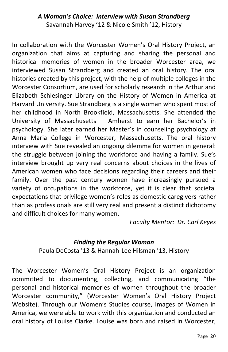#### *A Woman's Choice: Interview with Susan Strandberg* Savannah Harvey '12 & Nicole Smith '12, History

In collaboration with the Worcester Women's Oral History Project, an organization that aims at capturing and sharing the personal and historical memories of women in the broader Worcester area, we interviewed Susan Strandberg and created an oral history. The oral histories created by this project, with the help of multiple colleges in the Worcester Consortium, are used for scholarly research in the Arthur and Elizabeth Schlesinger Library on the History of Women in America at Harvard University. Sue Strandberg is a single woman who spent most of her childhood in North Brookfield, Massachusetts. She attended the University of Massachusetts – Amherst to earn her Bachelor's in psychology. She later earned her Master's in counseling psychology at Anna Maria College in Worcester, Massachusetts. The oral history interview with Sue revealed an ongoing dilemma for women in general: the struggle between joining the workforce and having a family. Sue's interview brought up very real concerns about choices in the lives of American women who face decisions regarding their careers and their family. Over the past century women have increasingly pursued a variety of occupations in the workforce, yet it is clear that societal expectations that privilege women's roles as domestic caregivers rather than as professionals are still very real and present a distinct dichotomy and difficult choices for many women.

*Faculty Mentor: Dr. Carl Keyes*

#### *Finding the Regular Woman*

Paula DeCosta '13 & Hannah-Lee Hilsman '13, History

The Worcester Women's Oral History Project is an organization committed to documenting, collecting, and communicating "the personal and historical memories of women throughout the broader Worcester community," (Worcester Women's Oral History Project Website). Through our Women's Studies course, Images of Women in America, we were able to work with this organization and conducted an oral history of Louise Clarke. Louise was born and raised in Worcester,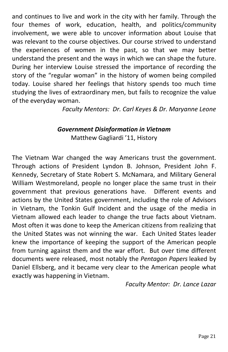and continues to live and work in the city with her family. Through the four themes of work, education, health, and politics/community involvement, we were able to uncover information about Louise that was relevant to the course objectives. Our course strived to understand the experiences of women in the past, so that we may better understand the present and the ways in which we can shape the future. During her interview Louise stressed the importance of recording the story of the "regular woman" in the history of women being compiled today. Louise shared her feelings that history spends too much time studying the lives of extraordinary men, but fails to recognize the value of the everyday woman.

*Faculty Mentors: Dr. Carl Keyes & Dr. Maryanne Leone*

#### *Government Disinformation in Vietnam* Matthew Gagliardi '11, History

The Vietnam War changed the way Americans trust the government. Through actions of President Lyndon B. Johnson, President John F. Kennedy, Secretary of State Robert S. McNamara, and Military General William Westmoreland, people no longer place the same trust in their government that previous generations have. Different events and actions by the United States government, including the role of Advisors in Vietnam, the Tonkin Gulf Incident and the usage of the media in Vietnam allowed each leader to change the true facts about Vietnam. Most often it was done to keep the American citizens from realizing that the United States was not winning the war. Each United States leader knew the importance of keeping the support of the American people from turning against them and the war effort. But over time different documents were released, most notably the *Pentagon Papers* leaked by Daniel Ellsberg, and it became very clear to the American people what exactly was happening in Vietnam.

*Faculty Mentor: Dr. Lance Lazar*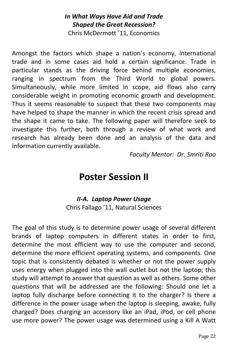#### *In What Ways Have Aid and Trade Shaped the Great Recession?* Chris McDermott '11, Economics

Amongst the factors which shape a nation's economy, international trade and in some cases aid hold a certain significance. Trade in particular stands as the driving force behind multiple economies, ranging in spectrum from the Third World to global powers. Simultaneously, while more limited in scope, aid flows also carry considerable weight in promoting economic growth and development. Thus it seems reasonable to suspect that these two components may have helped to shape the manner in which the recent crisis spread and the shape it came to take. The following paper will therefore seek to investigate this further, both through a review of what work and research has already been done and an analysis of the data and information currently available.

*Faculty Mentor: Dr. Smriti Rao*

### **Poster Session II**

#### *II-A. Laptop Power Usage* Chris Fallago '11, Natural Sciences

The goal of this study is to determine power usage of several different brands of laptop computers in different states in order to first, determine the most efficient way to use the computer and second, determine the more efficient operating systems, and components. One topic that is consistently debated is whether or not the power supply uses energy when plugged into the wall outlet but not the laptop; this study will attempt to answer that question as well as others. Some other questions that will be addressed are the following: Should one let a laptop fully discharge before connecting it to the charger? Is there a difference in the power usage when the laptop is sleeping, awake, fully charged? Does charging an accessory like an iPad, iPod, or cell phone use more power? The power usage was determined using a Kill A Watt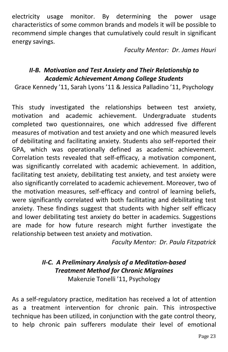electricity usage monitor. By determining the power usage characteristics of some common brands and models it will be possible to recommend simple changes that cumulatively could result in significant energy savings.

*Faculty Mentor: Dr. James Hauri*

#### *II-B. Motivation and Test Anxiety and Their Relationship to Academic Achievement Among College Students*

Grace Kennedy '11, Sarah Lyons '11 & Jessica Palladino '11, Psychology

This study investigated the relationships between test anxiety, motivation and academic achievement. Undergraduate students completed two questionnaires, one which addressed five different measures of motivation and test anxiety and one which measured levels of debilitating and facilitating anxiety. Students also self-reported their GPA, which was operationally defined as academic achievement. Correlation tests revealed that self-efficacy, a motivation component, was significantly correlated with academic achievement. In addition, facilitating test anxiety, debilitating test anxiety, and test anxiety were also significantly correlated to academic achievement. Moreover, two of the motivation measures, self-efficacy and control of learning beliefs, were significantly correlated with both facilitating and debilitating test anxiety. These findings suggest that students with higher self efficacy and lower debilitating test anxiety do better in academics. Suggestions are made for how future research might further investigate the relationship between test anxiety and motivation.

*Faculty Mentor: Dr. Paula Fitzpatrick*

#### *II-C. A Preliminary Analysis of a Meditation-based Treatment Method for Chronic Migraines* Makenzie Tonelli '11, Psychology

As a self-regulatory practice, meditation has received a lot of attention as a treatment intervention for chronic pain. This introspective technique has been utilized, in conjunction with the gate control theory, to help chronic pain sufferers modulate their level of emotional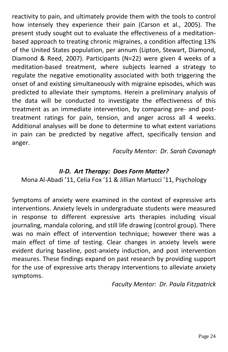reactivity to pain, and ultimately provide them with the tools to control how intensely they experience their pain (Carson et al., 2005). The present study sought out to evaluate the effectiveness of a meditationbased approach to treating chronic migraines, a condition affecting 13% of the United States population, per annum (Lipton, Stewart, Diamond, Diamond & Reed, 2007). Participants (N=22) were given 4 weeks of a meditation-based treatment, where subjects learned a strategy to regulate the negative emotionality associated with both triggering the onset of and existing simultaneously with migraine episodes, which was predicted to alleviate their symptoms. Herein a preliminary analysis of the data will be conducted to investigate the effectiveness of this treatment as an immediate intervention, by comparing pre- and posttreatment ratings for pain, tension, and anger across all 4 weeks. Additional analyses will be done to determine to what extent variations in pain can be predicted by negative affect, specifically tension and anger.

*Faculty Mentor: Dr. Sarah Cavanagh*

#### *II-D. Art Therapy: Does Form Matter?*

Mona Al-Abadi '11, Celia Fox '11 & Jillian Martucci '11, Psychology

Symptoms of anxiety were examined in the context of expressive arts interventions. Anxiety levels in undergraduate students were measured in response to different expressive arts therapies including visual journaling, mandala coloring, and still life drawing (control group). There was no main effect of intervention technique; however there was a main effect of time of testing. Clear changes in anxiety levels were evident during baseline, post-anxiety induction, and post intervention measures. These findings expand on past research by providing support for the use of expressive arts therapy interventions to alleviate anxiety symptoms.

*Faculty Mentor: Dr. Paula Fitzpatrick*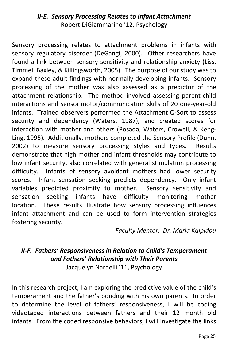#### *II-E. Sensory Processing Relates to Infant Attachment* Robert DiGiammarino '12, Psychology

Sensory processing relates to attachment problems in infants with sensory regulatory disorder (DeGangi, 2000). Other researchers have found a link between sensory sensitivity and relationship anxiety (Liss, Timmel, Baxley, & Killingsworth, 2005). The purpose of our study was to expand these adult findings with normally developing infants. Sensory processing of the mother was also assessed as a predictor of the attachment relationship. The method involved assessing parent-child interactions and sensorimotor/communication skills of 20 one-year-old infants. Trained observers performed the Attachment Q-Sort to assess security and dependency (Waters, 1987), and created scores for interaction with mother and others (Posada, Waters, Crowell, & Keng-Ling, 1995). Additionally, mothers completed the Sensory Profile (Dunn, 2002) to measure sensory processing styles and types. Results demonstrate that high mother and infant thresholds may contribute to low infant security, also correlated with general stimulation processing difficulty. Infants of sensory avoidant mothers had lower security scores. Infant sensation seeking predicts dependency. Only infant variables predicted proximity to mother. Sensory sensitivity and sensation seeking infants have difficulty monitoring mother location. These results illustrate how sensory processing influences infant attachment and can be used to form intervention strategies fostering security.

*Faculty Mentor: Dr. Maria Kalpidou*

### *II-F. Fathers' Responsiveness in Relation to Child's Temperament and Fathers' Relationship with Their Parents*

Jacquelyn Nardelli '11, Psychology

In this research project, I am exploring the predictive value of the child's temperament and the father's bonding with his own parents. In order to determine the level of fathers' responsiveness, I will be coding videotaped interactions between fathers and their 12 month old infants. From the coded responsive behaviors, I will investigate the links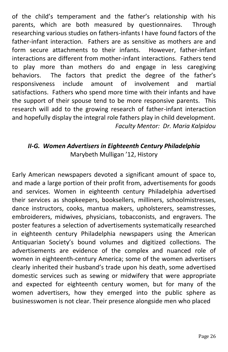of the child's temperament and the father's relationship with his parents, which are both measured by questionnaires. Through researching various studies on fathers-infants I have found factors of the father-infant interaction. Fathers are as sensitive as mothers are and form secure attachments to their infants. However, father-infant interactions are different from mother-infant interactions. Fathers tend to play more than mothers do and engage in less caregiving behaviors. The factors that predict the degree of the father's responsiveness include amount of involvement and martial satisfactions. Fathers who spend more time with their infants and have the support of their spouse tend to be more responsive parents. This research will add to the growing research of father-infant interaction and hopefully display the integral role fathers play in child development. *Faculty Mentor: Dr. Maria Kalpidou*

#### *II-G. Women Advertisers in Eighteenth Century Philadelphia* Marybeth Mulligan '12, History

Early American newspapers devoted a significant amount of space to, and made a large portion of their profit from, advertisements for goods and services. Women in eighteenth century Philadelphia advertised their services as shopkeepers, booksellers, milliners, schoolmistresses, dance instructors, cooks, mantua makers, upholsterers, seamstresses, embroiderers, midwives, physicians, tobacconists, and engravers. The poster features a selection of advertisements systematically researched in eighteenth century Philadelphia newspapers using the American Antiquarian Society's bound volumes and digitized collections. The advertisements are evidence of the complex and nuanced role of women in eighteenth-century America; some of the women advertisers clearly inherited their husband's trade upon his death, some advertised domestic services such as sewing or midwifery that were appropriate and expected for eighteenth century women, but for many of the women advertisers, how they emerged into the public sphere as businesswomen is not clear. Their presence alongside men who placed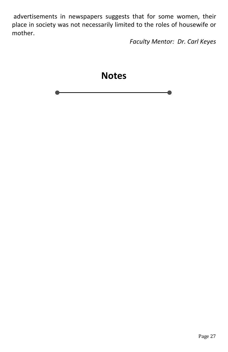advertisements in newspapers suggests that for some women, their place in society was not necessarily limited to the roles of housewife or mother.

*Faculty Mentor: Dr. Carl Keyes*

 $\bullet$ 

**Notes**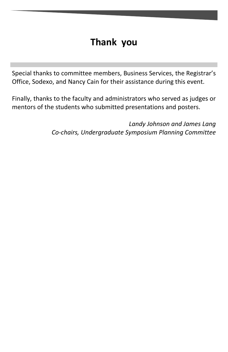# **Thank you**

Special thanks to committee members, Business Services, the Registrar's Office, Sodexo, and Nancy Cain for their assistance during this event.

Finally, thanks to the faculty and administrators who served as judges or mentors of the students who submitted presentations and posters.

> *Landy Johnson and James Lang Co-chairs, Undergraduate Symposium Planning Committee*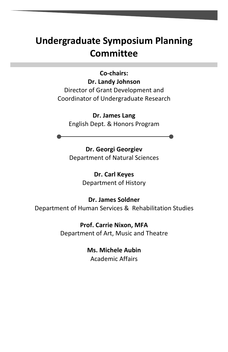# **Undergraduate Symposium Planning Committee**

**Co-chairs: Dr. Landy Johnson** Director of Grant Development and Coordinator of Undergraduate Research

**Dr. James Lang** English Dept. & Honors Program

**Dr. Georgi Georgiev** Department of Natural Sciences

> **Dr. Carl Keyes** Department of History

**Dr. James Soldner** Department of Human Services & Rehabilitation Studies

> **Prof. Carrie Nixon, MFA** Department of Art, Music and Theatre

> > **Ms. Michele Aubin** Academic Affairs